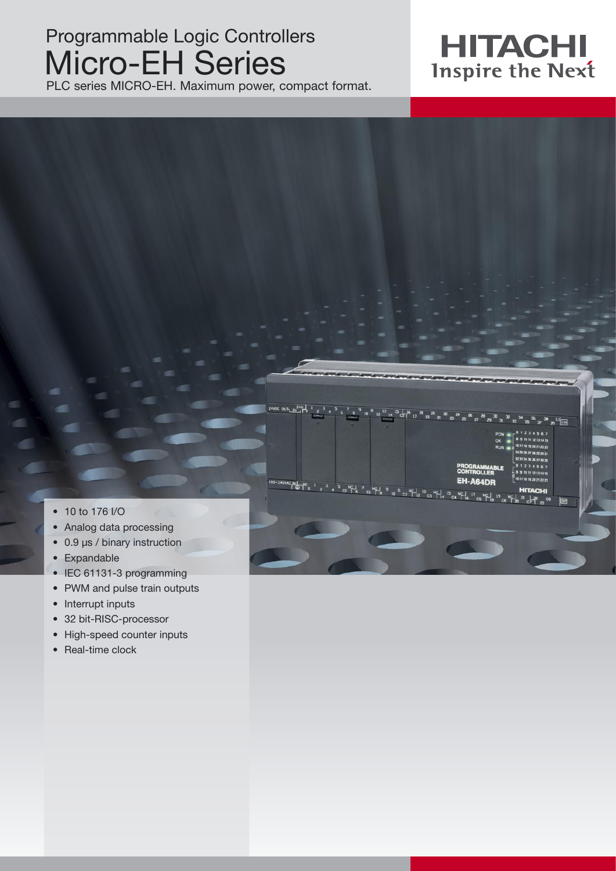## Programmable Logic Controllers Micro-EH Series

PLC series MICRO-EH. Maximum power, compact format.



A64DR



r av 24V

- 10 to 176 I/O
- Analog data processing
- 0.9 µs / binary instruction
- Expandable
- IEC 61131-3 programming
- PWM and pulse train outputs
- Interrupt inputs
- 32 bit-RISC-processor
- High-speed counter inputs
- Real-time clock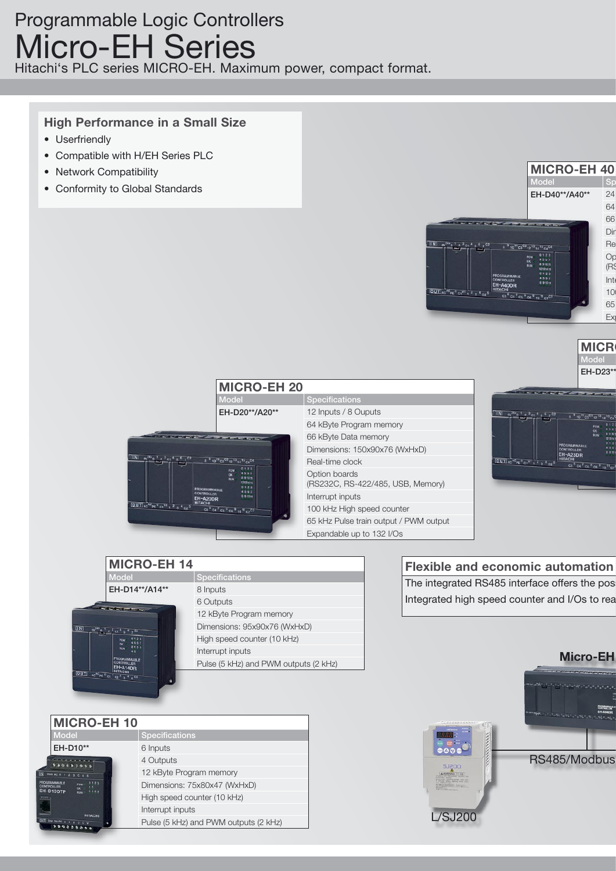### Programmable Logic Controllers Micro-EH Series

Hitachi's PLC series MICRO-EH. Maximum power, compact format.

### **High Performance in a Small Size**

- Userfriendly
- Compatible with H/EH Series PLC
- Network Compatibility
- Conformity to Global Standards



**MICR** Model<sup>1</sup> EH-D23\*\*



|                                                                                                         | <b>MICRO-EH 14</b>                    |  |  |
|---------------------------------------------------------------------------------------------------------|---------------------------------------|--|--|
| <b>Model</b>                                                                                            | <b>Specifications</b>                 |  |  |
| EH-D14**/A14**                                                                                          | 8 Inputs                              |  |  |
| <b><i>Construction Services</i></b><br>[1N]<br>$c_{1}$ $s_{1}$ $t_{2}$ $c_{2}$                          | 6 Outputs                             |  |  |
|                                                                                                         | 12 kByte Program memory               |  |  |
|                                                                                                         | Dimensions: 95x90x76 (WxHxD)          |  |  |
| POW<br>av                                                                                               | High speed counter (10 kHz)           |  |  |
| RUN                                                                                                     | Interrupt inputs                      |  |  |
| PROGRAMMABLE<br><b>CONTROLLER</b><br>EH-A14DR                                                           | Pulse (5 kHz) and PWM outputs (2 kHz) |  |  |
| OUT 40 <sup>AC</sup> PE <sup>0</sup> CL<br>$\frac{1}{2}$ c2 $\frac{2}{3}$ $\frac{4}{3}$ $\frac{63}{10}$ |                                       |  |  |
|                                                                                                         |                                       |  |  |

| <b>MICRO-EH 10</b>                                                  |                                       |  |  |  |
|---------------------------------------------------------------------|---------------------------------------|--|--|--|
| <b>Model</b>                                                        | <b>Specifications</b>                 |  |  |  |
| EH-D10**                                                            | 6 Inputs                              |  |  |  |
|                                                                     | 4 Outputs                             |  |  |  |
|                                                                     | 12 kByte Program memory               |  |  |  |
| <b>FOW</b><br>ONTROLLES<br>H-D10DTP<br><b>BUN</b><br><b>HITACHI</b> | Dimensions: 75x80x47 (WxHxD)          |  |  |  |
|                                                                     | High speed counter (10 kHz)           |  |  |  |
|                                                                     | Interrupt inputs                      |  |  |  |
| UT 24V OV PE O<br>000000000                                         | Pulse (5 kHz) and PWM outputs (2 kHz) |  |  |  |

**Flexible and economic automation** The integrated RS485 interface offers the pos Integrated high speed counter and I/Os to rea

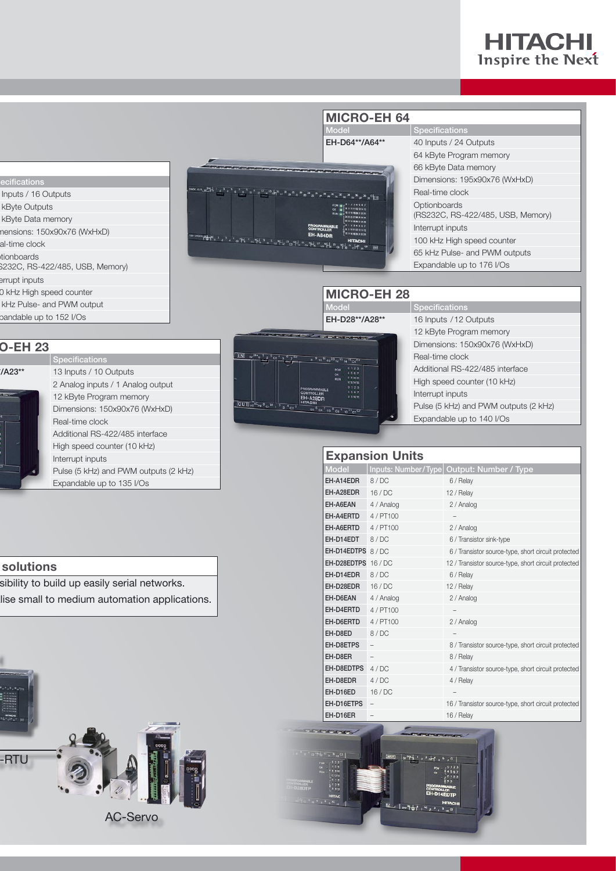# **HITACHI**<br>Inspire the Next

|                                                  |                                   |                                                                                                                                                               | <b>MICRO-EH 64</b>                                                                                                  |                                                   |  |
|--------------------------------------------------|-----------------------------------|---------------------------------------------------------------------------------------------------------------------------------------------------------------|---------------------------------------------------------------------------------------------------------------------|---------------------------------------------------|--|
|                                                  |                                   |                                                                                                                                                               | Model                                                                                                               | <b>Specifications</b>                             |  |
|                                                  |                                   |                                                                                                                                                               | EH-D64**/A64**                                                                                                      | 40 Inputs / 24 Outputs                            |  |
|                                                  |                                   |                                                                                                                                                               |                                                                                                                     | 64 kByte Program memory                           |  |
|                                                  |                                   |                                                                                                                                                               |                                                                                                                     | 66 kByte Data memory                              |  |
| ecifications                                     |                                   |                                                                                                                                                               |                                                                                                                     | Dimensions: 195x90x76 (WxHxD)                     |  |
|                                                  | Inputs / 16 Outputs               | $\frac{1}{2}$ and $\frac{1}{2}$ $\frac{1}{2}$ $\frac{1}{2}$ $\frac{1}{2}$ $\frac{1}{2}$ $\frac{1}{2}$ $\frac{1}{2}$ $\frac{1}{2}$ $\frac{1}{2}$ $\frac{1}{2}$ |                                                                                                                     | Real-time clock                                   |  |
|                                                  | kByte Outputs                     |                                                                                                                                                               |                                                                                                                     | Optionboards<br>(RS232C, RS-422/485, USB, Memory) |  |
| kByte Data memory<br>nensions: 150x90x76 (WxHxD) |                                   |                                                                                                                                                               |                                                                                                                     | Interrupt inputs                                  |  |
| al-time clock                                    |                                   |                                                                                                                                                               |                                                                                                                     | 100 kHz High speed counter                        |  |
|                                                  |                                   |                                                                                                                                                               |                                                                                                                     | 65 kHz Pulse- and PWM outputs                     |  |
| tionboards<br>\$232C, RS-422/485, USB, Memory)   |                                   |                                                                                                                                                               |                                                                                                                     | Expandable up to 176 I/Os                         |  |
| errupt inputs                                    |                                   |                                                                                                                                                               |                                                                                                                     |                                                   |  |
|                                                  | 0 kHz High speed counter          |                                                                                                                                                               | <b>MICRO-EH 28</b>                                                                                                  |                                                   |  |
|                                                  | kHz Pulse- and PWM output         |                                                                                                                                                               | <b>Model</b>                                                                                                        | <b>Specifications</b>                             |  |
|                                                  | pandable up to 152 I/Os           |                                                                                                                                                               | EH-D28**/A28**                                                                                                      | 16 Inputs / 12 Outputs                            |  |
|                                                  |                                   |                                                                                                                                                               | <b>Contract State Contract Inc.</b>                                                                                 | 12 kByte Program memory                           |  |
| <b>O-EH 23</b>                                   |                                   |                                                                                                                                                               |                                                                                                                     | Dimensions: 150x90x76 (WxHxD)                     |  |
|                                                  | <b>Specifications</b>             | $\boxed{LN}$ $\frac{1}{2}$ $\frac{1}{2}$ $\frac{1}{2}$ $\frac{1}{2}$ $\frac{1}{2}$ $\frac{1}{2}$ $\frac{1}{2}$ $\frac{1}{2}$ $\frac{1}{2}$                    | 1 <sup>9</sup> 10 <sup>11</sup> C3 <sup>C3</sup> 12 <sup>15</sup> 14 <sup>15</sup> C4 <sup>C4</sup>                 | Real-time clock                                   |  |
| '/A23**                                          | 13 Inputs / 10 Outputs            |                                                                                                                                                               | 0.1.2.<br>4867                                                                                                      | Additional RS-422/485 interface                   |  |
|                                                  | 2 Analog inputs / 1 Analog output |                                                                                                                                                               | 891011<br><b>FILIN</b><br>R014B<br>0123                                                                             | High speed counter (10 kHz)                       |  |
|                                                  | 12 kByte Program memory           |                                                                                                                                                               | <b>PROGRAMMARLI</b><br>4507<br>CONTROLLER<br>8 9 10 11<br>EH-A28DR                                                  | Interrupt inputs                                  |  |
|                                                  | Dimensions: 150x90x76 (WxHxD)     | 00T 40 <sup>AC</sup> PE <sup>0</sup> C1 <sup>V1</sup> 1 <sup>2</sup> 3 <sup>4</sup> C2 <sup>5</sup>                                                           | <b>HITACHI</b><br>G3 <sup>6</sup> C4 <sup>7</sup> C5 <sup>8</sup> C6 <sup>9</sup> 10 <sup>11</sup> C7 <sup>C7</sup> | Pulse (5 kHz) and PWM outputs (2 kHz)             |  |
|                                                  | Real-time clock                   |                                                                                                                                                               |                                                                                                                     | Expandable up to 140 I/Os                         |  |
|                                                  | Additional DC 100/105 interface   |                                                                                                                                                               |                                                                                                                     |                                                   |  |

 $\Gamma$ 

|                     | <b>Expansion Units</b> |                                                      |
|---------------------|------------------------|------------------------------------------------------|
| <b>Model</b>        | Inputs: Number/Type    | Output: Number / Type                                |
| EH-A14EDR           | 8/DC                   | 6 / Relay                                            |
| EH-A28EDR           | 16/DC                  | 12 / Relay                                           |
| EH-A6EAN            | 4 / Analog             | 2 / Analog                                           |
| EH-A4ERTD           | 4/PT100                |                                                      |
| EH-A6ERTD           | 4/PT100                | 2 / Analog                                           |
| EH-D14EDT           | 8/DC                   | 6 / Transistor sink-type                             |
| EH-D14EDTPS 8/DC    |                        | 6 / Transistor source-type, short circuit protected  |
| EH-D28EDTPS 16 / DC |                        | 12 / Transistor source-type, short circuit protected |
| FH-D14FDR           | 8/DC                   | 6 / Relay                                            |
| EH-D28EDR           | 16/DC                  | 12 / Relav                                           |
| EH-D6EAN            | 4 / Analog             | 2 / Analog                                           |
| EH-D4ERTD           | 4/PT100                |                                                      |
| EH-D6ERTD           | 4/PT100                | 2 / Analog                                           |
| EH-D8ED             | 8/DC                   |                                                      |
| EH-D8ETPS           |                        | 8 / Transistor source-type, short circuit protected  |
| EH-D8ER             |                        | 8 / Relay                                            |
| EH-D8EDTPS          | 4/DC                   | 4 / Transistor source-type, short circuit protected  |
| EH-D8EDR            | 4/DC                   | 4 / Relay                                            |
| EH-D16ED            | 16/DC                  |                                                      |
| EH-D16ETPS          | $\qquad \qquad -$      | 16 / Transistor source-type, short circuit protected |
| EH-D16ER            |                        | 16 / Relay                                           |
|                     |                        |                                                      |